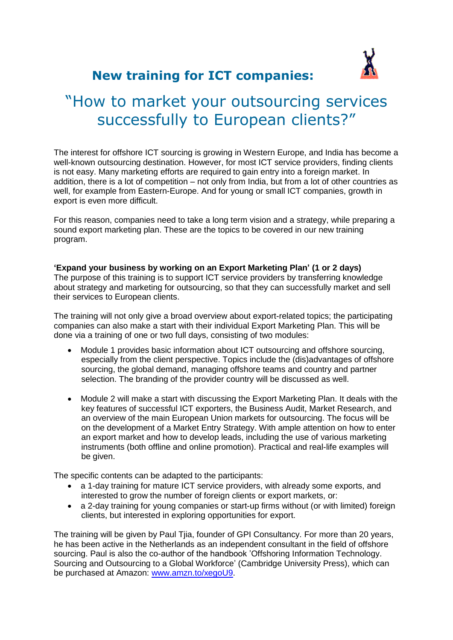

## **New training for ICT companies:**

# "How to market your outsourcing services successfully to European clients?"

The interest for offshore ICT sourcing is growing in Western Europe, and India has become a well-known outsourcing destination. However, for most ICT service providers, finding clients is not easy. Many marketing efforts are required to gain entry into a foreign market. In addition, there is a lot of competition – not only from India, but from a lot of other countries as well, for example from Eastern-Europe. And for young or small ICT companies, growth in export is even more difficult.

For this reason, companies need to take a long term vision and a strategy, while preparing a sound export marketing plan. These are the topics to be covered in our new training program.

#### **'Expand your business by working on an Export Marketing Plan' (1 or 2 days)**

The purpose of this training is to support ICT service providers by transferring knowledge about strategy and marketing for outsourcing, so that they can successfully market and sell their services to European clients.

The training will not only give a broad overview about export-related topics; the participating companies can also make a start with their individual Export Marketing Plan. This will be done via a training of one or two full days, consisting of two modules:

- Module 1 provides basic information about ICT outsourcing and offshore sourcing, especially from the client perspective. Topics include the (dis)advantages of offshore sourcing, the global demand, managing offshore teams and country and partner selection. The branding of the provider country will be discussed as well.
- Module 2 will make a start with discussing the Export Marketing Plan. It deals with the key features of successful ICT exporters, the Business Audit, Market Research, and an overview of the main European Union markets for outsourcing. The focus will be on the development of a Market Entry Strategy. With ample attention on how to enter an export market and how to develop leads, including the use of various marketing instruments (both offline and online promotion). Practical and real-life examples will be given.

The specific contents can be adapted to the participants:

- a 1-day training for mature ICT service providers, with already some exports, and interested to grow the number of foreign clients or export markets, or:
- a 2-day training for young companies or start-up firms without (or with limited) foreign clients, but interested in exploring opportunities for export.

The training will be given by Paul Tjia, founder of GPI Consultancy. For more than 20 years, he has been active in the Netherlands as an independent consultant in the field of offshore sourcing. Paul is also the co-author of the handbook 'Offshoring Information Technology. Sourcing and Outsourcing to a Global Workforce' (Cambridge University Press), which can be purchased at Amazon: [www.amzn.to/xegoU9.](http://www.amzn.to/xegoU9)